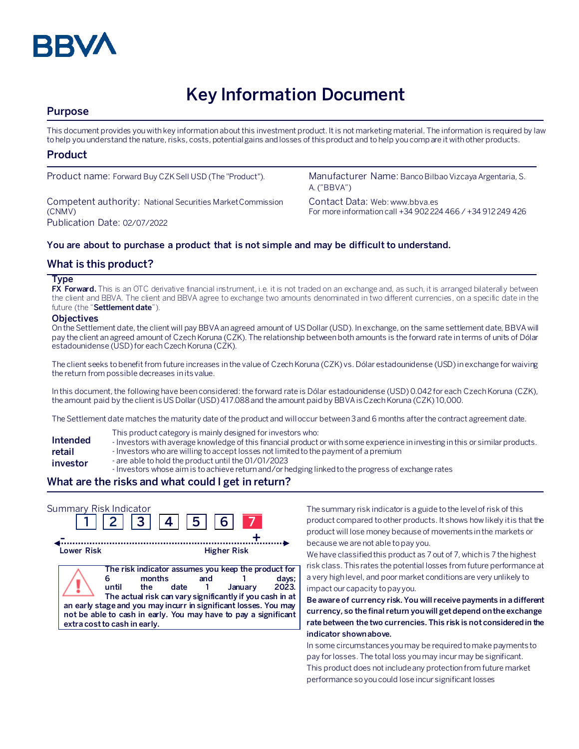

# **Key Information Document**

# **Purpose**

This document provides you with key information about this investment product. It is not marketing material. The information is required by law to help you understand the nature, risks, costs, potential gains and losses of this product and to help you compare it with other products.

## **Product**

Competent authority: National Securities Market Commission (CNMV) Publication Date: 02/07/2022

Product name: Forward Buy CZK Sell USD (The "Product"). Manufacturer Name: Banco Bilbao Vizcaya Argentaria, S. A. ("BBVA")

> Contact Data: Web: www.bbva.es For more information call +34 902 224 466 / +34 912 249 426

## **You are about to purchase a product that is not simple and may be difficult to understand.**

## **What is this product?**

#### **Type**

**FX Forward.** This is an OTC derivative financial instrument, i.e. it is not traded on an exchange and, as such, it is arranged bilaterally between the client and BBVA. The client and BBVA agree to exchange two amounts denominated in two different currencies, on a specific date in the future (the "**Settlement date**").

#### **Objectives**

On the Settlement date, the client will pay BBVA an agreed amount of US Dollar(USD). In exchange, on the same settlement date, BBVA will pay the client an agreed amount of Czech Koruna (CZK). The relationship between both amounts is the forward rate in terms of units of Dólar estadounidense (USD) for each Czech Koruna (CZK).

The client seeks to benefit from future increases in the value of Czech Koruna (CZK) vs. Dólar estadounidense (USD) in exchange for waiving the return from possible decreases in its value.

In this document, the following have been considered: the forward rate is Dólar estadounidense (USD) 0.042 for each Czech Koruna (CZK), the amount paid by the client is US Dollar (USD) 417.088 and the amount paid by BBVA is Czech Koruna (CZK) 10,000.

The Settlement date matches the maturity date of the product and will occur between 3 and 6 months after the contract agreement date.

- This product category is mainly designed for investors who:
- **Intended**  - Investors with average knowledge of this financial product or with some experience in investing in this or similar products.
- **retail**  - Investors who are willing to accept losses not limited to the payment of a premium
- **investor** - are able to hold the product until the 01/01/2023
	- Investors whose aim is to achieve return and/or hedging linked to the progress of exchange rates

# **What are the risks and what could I get in return?**

| Summary Risk Indicator | 2  3  4                                                                                                                                                                                                                                                                                                          | 5           | 6 <sup>1</sup>     |                           |
|------------------------|------------------------------------------------------------------------------------------------------------------------------------------------------------------------------------------------------------------------------------------------------------------------------------------------------------------|-------------|--------------------|---------------------------|
| Lower Risk             |                                                                                                                                                                                                                                                                                                                  |             | <b>Higher Risk</b> |                           |
|                        | The risk indicator assumes you keep the product for<br>months<br>until<br>the<br>The actual risk can vary significantly if you cash in at<br>an early stage and you may incurr in significant losses. You may<br>not be able to cash in early. You may have to pay a significant<br>extra cost to cash in early. | and<br>date |                    | days;<br>2023.<br>Januarv |

The summary risk indicator is a guide to the level of risk of this product compared to other products. It shows how likely it is that the product will lose money because of movements in the markets or because we are not able to pay you.

We have classified this product as 7 out of 7, which is 7 the highest risk class. This rates the potential losses from future performance at a very high level, and poor market conditions are very unlikely to impact our capacity to pay you.

**Be aware of currency risk. You will receive payments in a different currency, so the final return you will get depend on the exchange rate between the two currencies. This risk is not considered in the indicator shown above.**

In some circumstances you may be required to make payments to pay for losses. The total loss you may incur may be significant. This product does not include any protection from future market performance so you could lose incur significant losses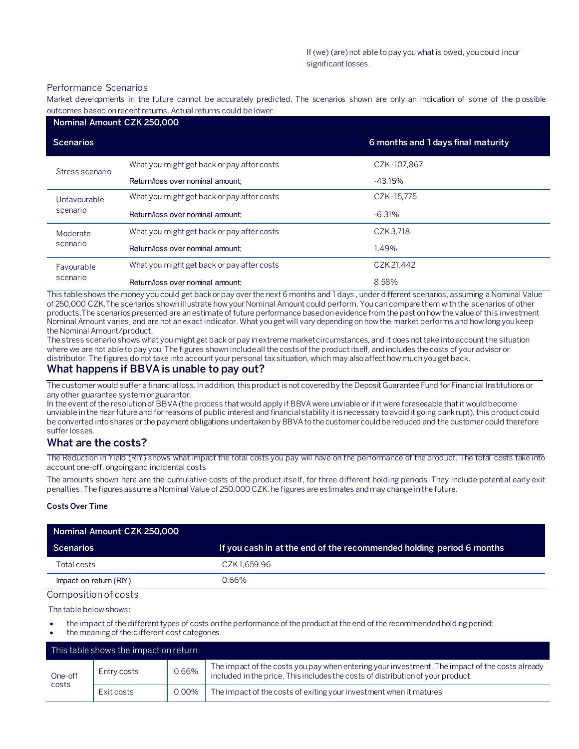#### Performance Scenarios

Market developments in the future cannot be accurately predicted. The scenarios shown are only an indication of some of the p ossible outcomes based on recent returns. Actual returns could be lower.

| Nominal Amount CZK 250,000 |                                            |                                    |  |  |
|----------------------------|--------------------------------------------|------------------------------------|--|--|
| <b>Scenarios</b>           |                                            | 6 months and 1 days final maturity |  |  |
| Stress scenario            | What you might get back or pay after costs | CZK-107.867                        |  |  |
|                            | Return/loss over nominal amount:           | $-43.15%$                          |  |  |
| Unfavourable<br>scenario   | What you might get back or pay after costs | CZK-15.775                         |  |  |
|                            | Return/loss over nominal amount:           | $-6.31%$                           |  |  |
| Moderate<br>scenario       | What you might get back or pay after costs | CZK3.718                           |  |  |
|                            | Return/loss over nominal amount:           | 1.49%                              |  |  |
| Favourable<br>scenario     | What you might get back or pay after costs | CZK 21,442                         |  |  |
|                            | Return/loss over nominal amount:           | 8.58%                              |  |  |

This table shows the money you could get back or pay over the next 6 months and 1 days , under different scenarios, assuming a Nominal Value of 250,000 CZK.The scenarios shown illustrate how your Nominal Amount could perform. You can compare them with the scenarios of other products.The scenarios presented are an estimate of future performance based on evidence from the past on how the value of this investment Nominal Amount varies, and are not an exact indicator. What you get will vary depending on how the market performs and how long you keep the Nominal Amount/product.

The stress scenario shows what you might get back or pay in extreme market circumstances, and it does not take into account the situation where we are not able to pay you. The figures shown include all the costs of the product itself, and includes the costs of your advisor or distributor. The figures do not take into account your personal tax situation, which may also affect how much you get back.

## **What happens if BBVA is unable to pay out?**

The customer would suffer a financial loss. In addition, this product is not covered by the Deposit Guarantee Fund for Financial Institutions or any other guarantee system or guarantor.

In the event of the resolution of BBVA (the process that would apply if BBVA were unviable or if it were foreseeable that it would become unviable in the near future and for reasons of public interest and financial stability it is necessary to avoid it going bankrupt), this product could be converted into shares or the payment obligations undertaken by BBVA to the customer could be reduced and the customer could therefore suffer losses.

## **What are the costs?**

The Reduction in Yield (RIY) shows what impact the total costs you pay will have on the performance of the product. The total costs take into account one-off, ongoing and incidental costs

The amounts shown here are the cumulative costs of the product itself, for three different holding periods. They include potential early exit penalties. The figures assume a Nominal Value of 250,000 CZK. he figures are estimates and may change in the future.

#### **Costs Over Time**

| Nominal Amount CZK 250,000 |                                                                      |  |
|----------------------------|----------------------------------------------------------------------|--|
| <b>Scenarios</b>           | If you cash in at the end of the recommended holding period 6 months |  |
| Total costs                | CZK 1.659.96                                                         |  |
| Impact on return (RIY)     | 0.66%                                                                |  |

#### Composition of costs

The table below shows:

- the impact of the different types of costs on the performance of the product at the end of the recommended holding period;
- the meaning of the different cost categories.

|                  | This table shows the impact on return |       |                                                                                                                                                                                   |
|------------------|---------------------------------------|-------|-----------------------------------------------------------------------------------------------------------------------------------------------------------------------------------|
| One-off<br>costs | Entry costs                           | 0.66% | The impact of the costs you pay when entering your investment. The impact of the costs already<br>included in the price. This includes the costs of distribution of your product. |
|                  | Exit costs                            | 0.00% | The impact of the costs of exiting your investment when it matures                                                                                                                |